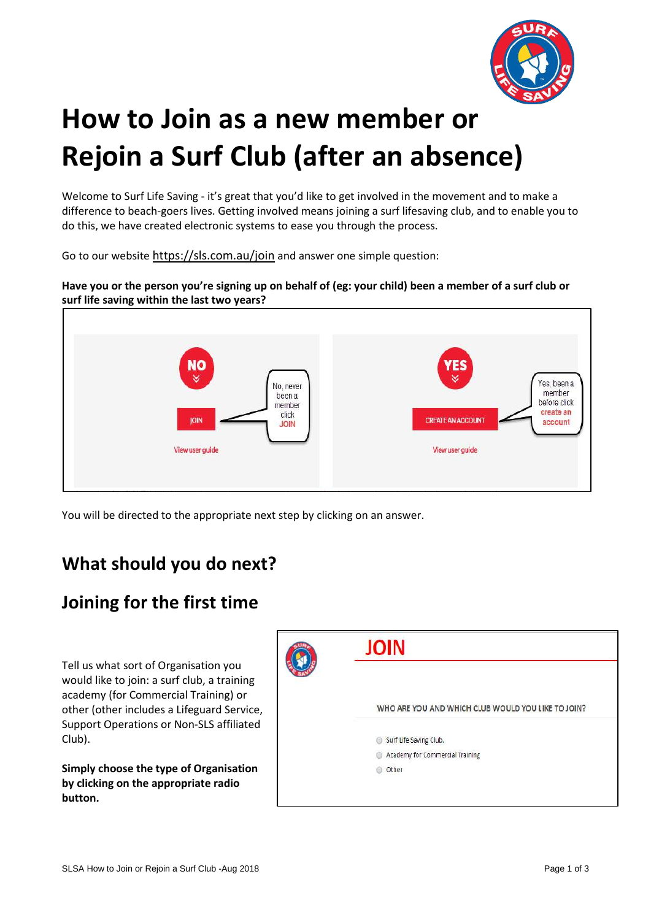

# **How to Join as a new member or Rejoin a Surf Club (after an absence)**

Welcome to Surf Life Saving - it's great that you'd like to get involved in the movement and to make a difference to beach-goers lives. Getting involved means joining a surf lifesaving club, and to enable you to do this, we have created electronic systems to ease you through the process.

Go to our website <https://sls.com.au/join> and answer one simple question:

Have you or the person you're signing up on behalf of (eg: your child) been a member of a surf club or **surf life saving within the last two years?**



You will be directed to the appropriate next step by clicking on an answer.

#### **What should you do next?**

## **Joining for the first time**

Tell us what sort of Organisation you would like to join: a surf club, a training academy (for Commercial Training) or other (other includes a Lifeguard Service, Support Operations or Non-SLS affiliated Club).

**Simply choose the type of Organisation by clicking on the appropriate radio button.**

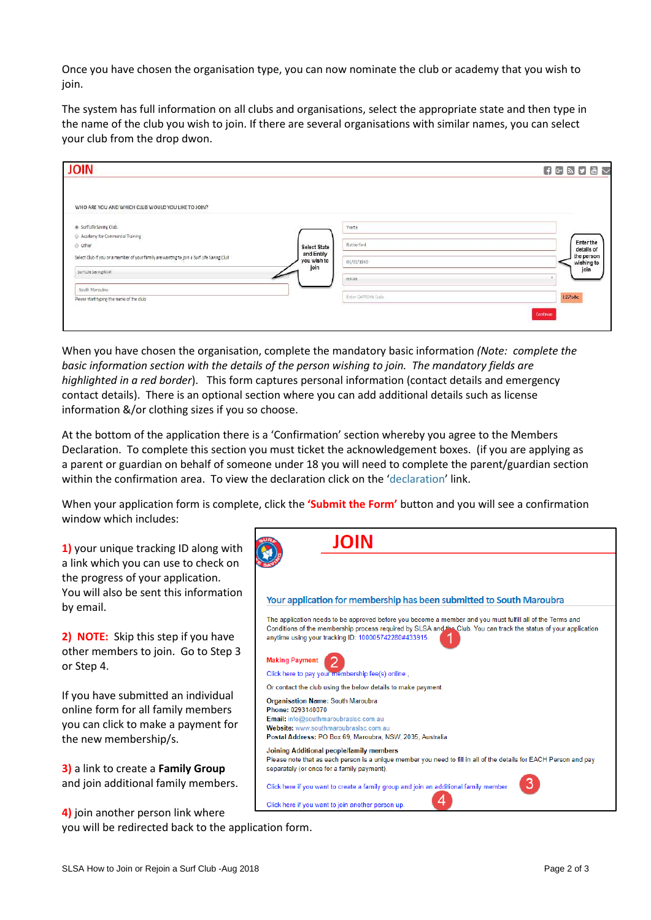Once you have chosen the organisation type, you can now nominate the club or academy that you wish to ioin.

The system has full information on all clubs and organisations, select the appropriate state and then type in the name of the club you wish to join. If there are several organisations with similar names, you can select your club from the drop dwon.

| <b>JOIN</b>                                                                               |                           |                     | $4 C M J L$              |
|-------------------------------------------------------------------------------------------|---------------------------|---------------------|--------------------------|
| WHO ARE YOU AND WHICH CLUB WOULD YOU LIKE TO JOIN?                                        |                           |                     |                          |
| Surf Life Saving Club.                                                                    |                           | Yvette              |                          |
| Academy for Commercial Training                                                           |                           |                     |                          |
| <b>Other</b>                                                                              | <b>Select State</b>       | Rutherford          | Enter the<br>details of  |
| Select Club if you or a member of your family are wanting to join a Surf Life Saving Club | and Entity<br>you wish to | 01/01/1890          | the person<br>wishing to |
| Surf Life Seving NSW                                                                      | join                      | Female              | join                     |
| South Maroubra                                                                            |                           |                     |                          |
| Please start typing the name of the club                                                  |                           | Errier CAPTCHA Code | 127b8c                   |
|                                                                                           |                           |                     |                          |
|                                                                                           |                           |                     | Continue                 |

When you have chosen the organisation, complete the mandatory basic information *(Note: complete the basic information section with the details of the person wishing to join. The mandatory fields are highlighted in a red border*). This form captures personal information (contact details and emergency contact details). There is an optional section where you can add additional details such as license information &/or clothing sizes if you so choose.

At the bottom of the application there is a 'Confirmation' section whereby you agree to the Members Declaration. To complete this section you must ticket the acknowledgement boxes. (if you are applying as a parent or guardian on behalf of someone under 18 you will need to complete the parent/guardian section within the confirmation area. To view the declaration click on the 'declaration' link.

When your application form is complete, click the **'Submit the Form'** button and you will see a confirmation window which includes:



you will be redirected back to the application form.